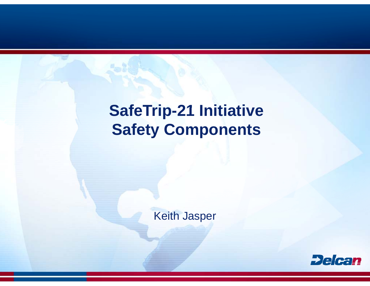# **SafeTrip-21 Initiative Safety Components**

**Keith Jasper** 

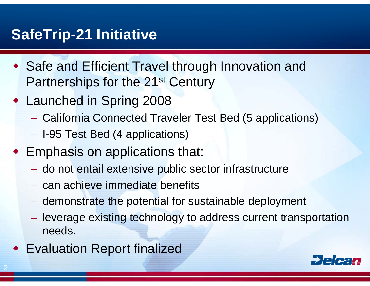#### **SafeTrip-21 Initiative 21**

- ◆ Safe and Efficient Travel through Innovation and Partnerships for the 21st Century
- Launched in Spring 2008
	- California Connected Traveler Test Bed (5 applications)
	- $\mathcal{L}_{\mathcal{A}}$ – I-95 Test Bed (4 applications)
- Emphasis on applications that:
	- –– do not entail extensive public sector infrastructure
	- can achieve immediate bene fits
	- $\mathcal{L}_{\mathcal{A}}$ - demonstrate the potential for sustainable deployment
	- $\mathcal{L}_{\mathcal{A}}$  , and the set of  $\mathcal{L}_{\mathcal{A}}$ – leverage existing technology to address current transportation needs.
- Evaluation Report finalized

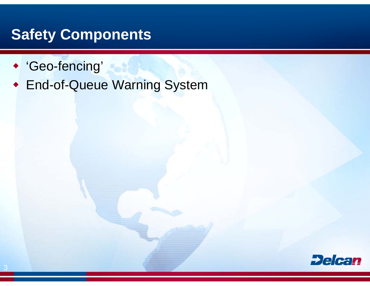#### **Safety Components**

- 'Geo-fencing'
- **End-of-Queue Warning System**

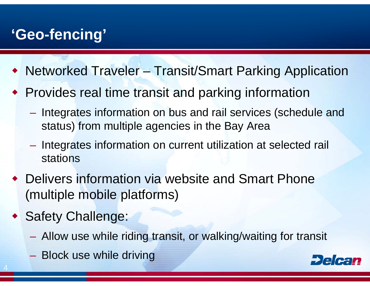## **'Geo-fencing'**

- Networked Traveler Transit/Smart Parking Application
- Provides real time transit and parking information
	- **Holland** and the con-- Integrates information on bus and rail services (schedule and status) from multiple agencie s in the Bay Area
	- Integrates information on current utilization at selected rail stations
- Delivers information via website and Smart Phone (multiple mobile platforms)
- Safety Challenge:

- Allow use while riding transit, or walking/waiting for transit
- Block use while driving

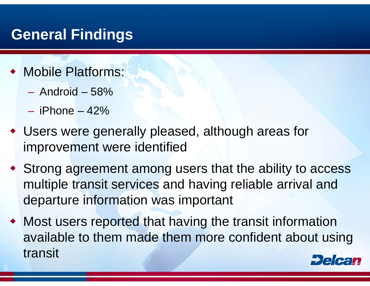#### **General Findings**

- Mobile Platforms:
	- Android 58%
	- iPhone 42%

- Users were generally pleased, although areas for improvement were identified
- Strong agreement among users that the ability to access multiple transit services and having reliable arrival and departure information was important
- Most users reported that having the transit information available to them made them more confident about using transit Delca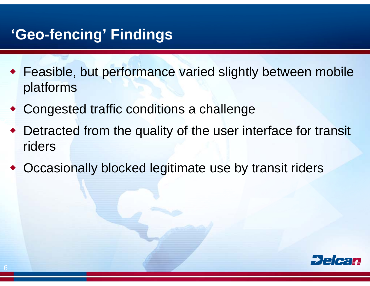### **'Geo-fencing' Findings**

- Feasible, but performance varied slightly between mobile platforms
- ♦ • Congested traffic conditions a challenge
- ♦ • Detracted from the quality of the user interface for transit riders
- ♦ • Occasionally blocked legitimate use by transit riders

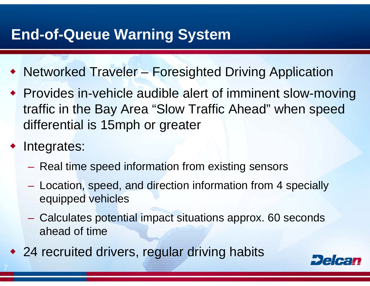### **End-of-Queue Warning System**

- Networked Traveler Foresighted Driving Application
- Provides in-vehicle audible alert of imminent slow-moving traffic in the Bay Area "Slow Traffic Ahead" when speed differential is 15mph or greater
	- Integrates:
		- Real time speed information from existing sensors
		- Location, speed, and direction information from 4 specially equipped vehicles
		- Calculates potential impact situations approx. 60 seconds ahead of time
- 24 recruited drivers, regular driving habits